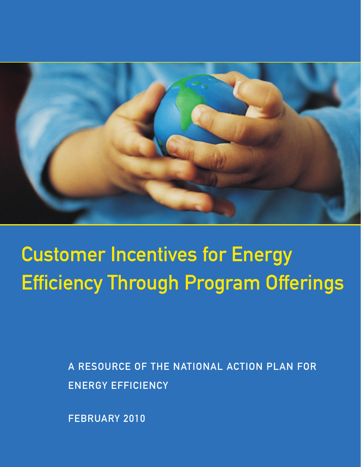

# Customer Incentives for Energy Efficiency Through Program Offerings

A RESOURCE OF THE NATIONAL ACTION PLAN FOR ENERGY EFFICIENCY

FEBRUARY 2010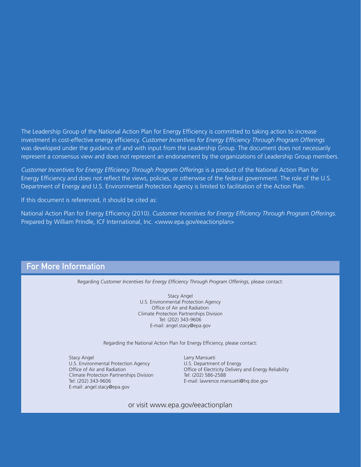The Leadership Group of the National Action Plan for Energy Efficiency is committed to taking action to increase investment in cost-effective energy efficiency. *Customer Incentives for Energy Efficiency Through Program Offerings* was developed under the guidance of and with input from the Leadership Group. The document does not necessarily represent a consensus view and does not represent an endorsement by the organizations of Leadership Group members.

*Customer Incentives for Energy Efficiency Through Program Offerings* is a product of the National Action Plan for Energy Efficiency and does not reflect the views, policies, or otherwise of the federal government. The role of the U.S. Department of Energy and U.S. Environmental Protection Agency is limited to facilitation of the Action Plan.

If this document is referenced, it should be cited as:

National Action Plan for Energy Efficiency (2010). *Customer Incentives for Energy Efficiency Through Program Offerings.* Prepared by William Prindle, ICF International, Inc. <www.epa.gov/eeactionplan>

## For More Information

Regarding *Customer Incentives for Energy Efficiency Through Program Offerings*, please contact:

Stacy Angel U.S. Environmental Protection Agency Office of Air and Radiation Climate Protection Partnerships Division Tel: (202) 343-9606 E-mail: angel.stacy@epa.gov

Regarding the National Action Plan for Energy Efficiency, please contact:

Stacy Angel **Larry Mansueti** U.S. Environmental Protection Agency U.S. Department of Energy Climate Protection Partnerships Division Tel: (202) 586-2588 Tel: (202) 343-9606 E-mail: lawrence.mansueti@hq.doe.gov E-mail: angel.stacy@epa.gov

Office of Air and Radiation **Office of Electricity Delivery and Energy Reliability** 

or visit www.epa.gov/eeactionplan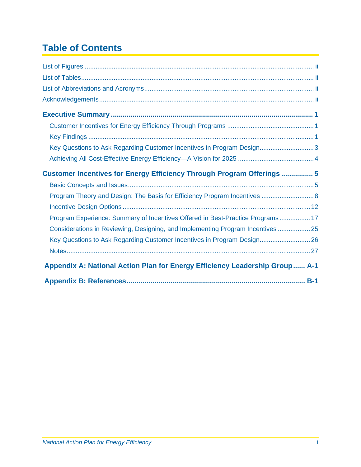# **Table of Contents**

| Key Questions to Ask Regarding Customer Incentives in Program Design3           |
|---------------------------------------------------------------------------------|
|                                                                                 |
| Customer Incentives for Energy Efficiency Through Program Offerings  5          |
|                                                                                 |
| Program Theory and Design: The Basis for Efficiency Program Incentives  8       |
|                                                                                 |
| Program Experience: Summary of Incentives Offered in Best-Practice Programs 17  |
| Considerations in Reviewing, Designing, and Implementing Program Incentives  25 |
| Key Questions to Ask Regarding Customer Incentives in Program Design 26         |
|                                                                                 |
| Appendix A: National Action Plan for Energy Efficiency Leadership Group A-1     |
|                                                                                 |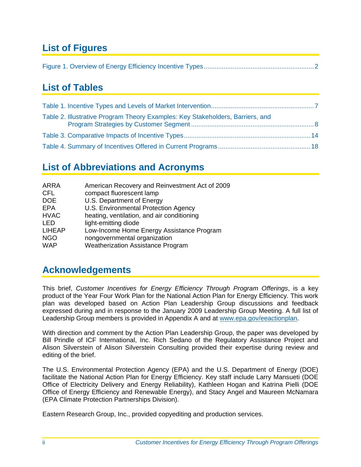# <span id="page-3-0"></span>**List of Figures**

|--|--|

## <span id="page-3-1"></span>**List of Tables**

| Table 2. Illustrative Program Theory Examples: Key Stakeholders, Barriers, and |  |
|--------------------------------------------------------------------------------|--|
|                                                                                |  |
|                                                                                |  |

## <span id="page-3-2"></span>**List of Abbreviations and Acronyms**

| ARRA          | American Recovery and Reinvestment Act of 2009 |
|---------------|------------------------------------------------|
| <b>CFL</b>    | compact fluorescent lamp                       |
| <b>DOE</b>    | U.S. Department of Energy                      |
| EPA           | U.S. Environmental Protection Agency           |
| <b>HVAC</b>   | heating, ventilation, and air conditioning     |
| <b>LED</b>    | light-emitting diode                           |
| <b>LIHEAP</b> | Low-Income Home Energy Assistance Program      |
| <b>NGO</b>    | nongovernmental organization                   |
| <b>WAP</b>    | <b>Weatherization Assistance Program</b>       |
|               |                                                |

## <span id="page-3-3"></span>**Acknowledgements**

This brief, *Customer Incentives for Energy Efficiency Through Program Offerings*, is a key product of the Year Four Work Plan for the National Action Plan for Energy Efficiency. This work plan was developed based on Action Plan Leadership Group discussions and feedback expressed during and in response to the January 2009 Leadership Group Meeting. A full list of Leadership Group members is provided in Appendix A and at www.epa.gov/eeactionplan.

With direction and comment by the Action Plan Leadership Group, the paper was developed by Bill Prindle of ICF International, Inc. Rich Sedano of the Regulatory Assistance Project and Alison Silverstein of Alison Silverstein Consulting provided their expertise during review and editing of the brief.

The U.S. Environmental Protection Agency (EPA) and the U.S. Department of Energy (DOE) facilitate the National Action Plan for Energy Efficiency. Key staff include Larry Mansueti (DOE Office of Electricity Delivery and Energy Reliability), Kathleen Hogan and Katrina Pielli (DOE Office of Energy Efficiency and Renewable Energy), and Stacy Angel and Maureen McNamara (EPA Climate Protection Partnerships Division).

Eastern Research Group, Inc., provided copyediting and production services.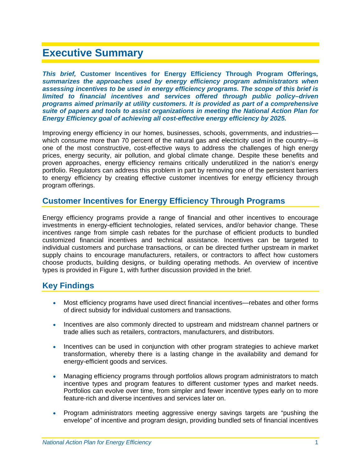## <span id="page-4-0"></span>**Executive Summary**

*This brief,* **Customer Incentives for Energy Efficiency Through Program Offerings***, summarizes the approaches used by energy efficiency program administrators when assessing incentives to be used in energy efficiency programs. The scope of this brief is limited to financial incentives and services offered through public policy–driven programs aimed primarily at utility customers. It is provided as part of a comprehensive suite of papers and tools to assist organizations in meeting the National Action Plan for Energy Efficiency goal of achieving all cost-effective energy efficiency by 2025.* 

Improving energy efficiency in our homes, businesses, schools, governments, and industries which consume more than 70 percent of the natural gas and electricity used in the country-- is one of the most constructive, cost-effective ways to address the challenges of high energy prices, energy security, air pollution, and global climate change. Despite these benefits and proven approaches, energy efficiency remains critically underutilized in the nation's energy portfolio. Regulators can address this problem in part by removing one of the persistent barriers to energy efficiency by creating effective customer incentives for energy efficiency through program offerings.

#### <span id="page-4-1"></span>**Customer Incentives for Energy Efficiency Through Programs**

Energy efficiency programs provide a range of financial and other incentives to encourage investments in energy-efficient technologies, related services, and/or behavior change. These incentives range from simple cash rebates for the purchase of efficient products to bundled customized financial incentives and technical assistance. Incentives can be targeted to individual customers and purchase transactions, or can be directed further upstream in market supply chains to encourage manufacturers, retailers, or contractors to affect how customers choose products, building designs, or building operating methods. An overview of incentive types is provided in [Figure 1,](#page-5-0) with further discussion provided in the brief.

#### <span id="page-4-2"></span>**Key Findings**

- Most efficiency programs have used direct financial incentives—rebates and other forms of direct subsidy for individual customers and transactions.
- Incentives are also commonly directed to upstream and midstream channel partners or trade allies such as retailers, contractors, manufacturers, and distributors.
- Incentives can be used in conjunction with other program strategies to achieve market transformation, whereby there is a lasting change in the availability and demand for energy-efficient goods and services.
- Managing efficiency programs through portfolios allows program administrators to match incentive types and program features to different customer types and market needs. Portfolios can evolve over time, from simpler and fewer incentive types early on to more feature-rich and diverse incentives and services later on.
- Program administrators meeting aggressive energy savings targets are "pushing the envelope" of incentive and program design, providing bundled sets of financial incentives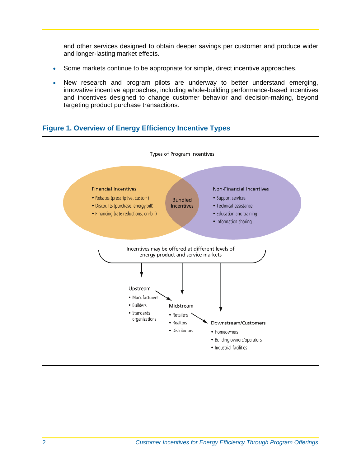and other services designed to obtain deeper savings per customer and produce wider and longer-lasting market effects.

- Some markets continue to be appropriate for simple, direct incentive approaches.
- New research and program pilots are underway to better understand emerging, innovative incentive approaches, including whole-building performance-based incentives and incentives designed to change customer behavior and decision-making, beyond targeting product purchase transactions.

#### <span id="page-5-0"></span>**Figure 1. Overview of Energy Efficiency Incentive Types**

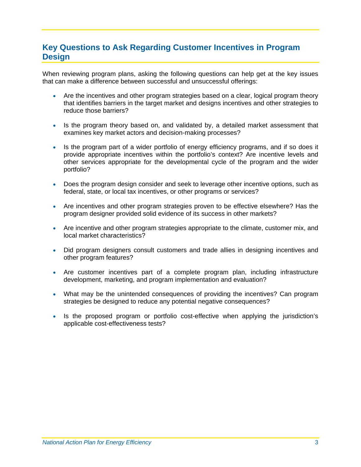## <span id="page-6-0"></span>**Key Questions to Ask Regarding Customer Incentives in Program Design**

When reviewing program plans, asking the following questions can help get at the key issues that can make a difference between successful and unsuccessful offerings:

- Are the incentives and other program strategies based on a clear, logical program theory that identifies barriers in the target market and designs incentives and other strategies to reduce those barriers?
- Is the program theory based on, and validated by, a detailed market assessment that examines key market actors and decision-making processes?
- Is the program part of a wider portfolio of energy efficiency programs, and if so does it provide appropriate incentives within the portfolio's context? Are incentive levels and other services appropriate for the developmental cycle of the program and the wider portfolio?
- Does the program design consider and seek to leverage other incentive options, such as federal, state, or local tax incentives, or other programs or services?
- Are incentives and other program strategies proven to be effective elsewhere? Has the program designer provided solid evidence of its success in other markets?
- Are incentive and other program strategies appropriate to the climate, customer mix, and local market characteristics?
- Did program designers consult customers and trade allies in designing incentives and other program features?
- Are customer incentives part of a complete program plan, including infrastructure development, marketing, and program implementation and evaluation?
- What may be the unintended consequences of providing the incentives? Can program strategies be designed to reduce any potential negative consequences?
- Is the proposed program or portfolio cost-effective when applying the jurisdiction's applicable cost-effectiveness tests?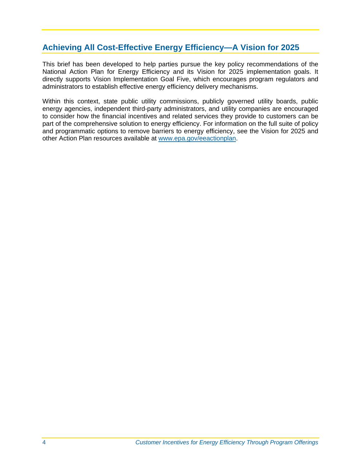## <span id="page-7-0"></span>**Achieving All Cost-Effective Energy Efficiency—A Vision for 2025**

This brief has been developed to help parties pursue the key policy recommendations of the National Action Plan for Energy Efficiency and its Vision for 2025 implementation goals. It directly supports Vision Implementation Goal Five, which encourages program regulators and administrators to establish effective energy efficiency delivery mechanisms.

Within this context, state public utility commissions, publicly governed utility boards, public energy agencies, independent third-party administrators, and utility companies are encouraged to consider how the financial incentives and related services they provide to customers can be part of the comprehensive solution to energy efficiency. For information on the full suite of policy and programmatic options to remove barriers to energy efficiency, see the Vision for 2025 and other Action Plan resources available at www.epa.gov/eeactionplan.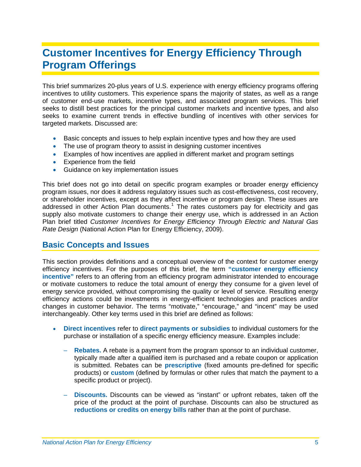# <span id="page-8-0"></span>**Customer Incentives for Energy Efficiency Through Program Offerings**

This brief summarizes 20-plus years of U.S. experience with energy efficiency programs offering incentives to utility customers. This experience spans the majority of states, as well as a range of customer end-use markets, incentive types, and associated program services. This brief seeks to distill best practices for the principal customer markets and incentive types, and also seeks to examine current trends in effective bundling of incentives with other services for targeted markets. Discussed are:

- Basic concepts and issues to help explain incentive types and how they are used
- The use of program theory to assist in designing customer incentives
- Examples of how incentives are applied in different market and program settings
- **Experience from the field**
- **Guidance on key implementation issues**

This brief does not go into detail on specific program examples or broader energy efficiency program issues, nor does it address regulatory issues such as cost-effectiveness, cost recovery, or shareholder incentives, except as they affect incentive or program design. These issues are addressed in other Action Plan documents.<sup>[1](#page-20-1)</sup> The rates customers pay for electricity and gas supply also motivate customers to change their energy use, which is addressed in an Action Plan brief titled *Customer Incentives for Energy Efficiency Through Electric and Natural Gas Rate Design* (National Action Plan for Energy Efficiency, 2009).

#### <span id="page-8-1"></span>**Basic Concepts and Issues**

This section provides definitions and a conceptual overview of the context for customer energy efficiency incentives. For the purposes of this brief, the term **"customer energy efficiency incentive"** refers to an offering from an efficiency program administrator intended to encourage or motivate customers to reduce the total amount of energy they consume for a given level of energy service provided, without compromising the quality or level of service. Resulting energy efficiency actions could be investments in energy-efficient technologies and practices and/or changes in customer behavior. The terms "motivate," "encourage," and "incent" may be used interchangeably. Other key terms used in this brief are defined as follows:

- **Direct incentives** refer to **direct payments or subsidies** to individual customers for the purchase or installation of a specific energy efficiency measure. Examples include:
	- **Rebates.** A rebate is a payment from the program sponsor to an individual customer, typically made after a qualified item is purchased and a rebate coupon or application is submitted. Rebates can be **prescriptive** (fixed amounts pre-defined for specific products) or **custom** (defined by formulas or other rules that match the payment to a specific product or project).
	- **Discounts.** Discounts can be viewed as "instant" or upfront rebates, taken off the price of the product at the point of purchase. Discounts can also be structured as **reductions or credits on energy bills** rather than at the point of purchase.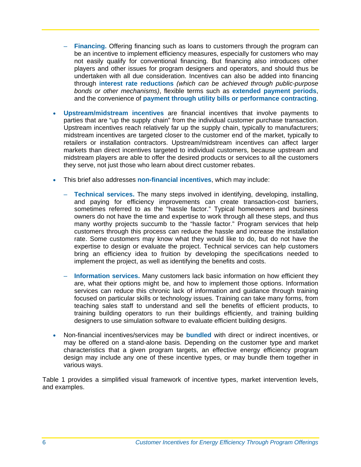- **Financing.** Offering financing such as loans to customers through the program can be an incentive to implement efficiency measures, especially for customers who may not easily qualify for conventional financing. But financing also introduces other players and other issues for program designers and operators, and should thus be undertaken with all due consideration. Incentives can also be added into financing through **interest rate reductions** *(which can be achieved through public-purpose bonds or other mechanisms)*, flexible terms such as **extended payment periods**, and the convenience of **payment through utility bills or performance contracting**.
- **Upstream/midstream incentives** are financial incentives that involve payments to parties that are "up the supply chain" from the individual customer purchase transaction. Upstream incentives reach relatively far up the supply chain, typically to manufacturers; midstream incentives are targeted closer to the customer end of the market, typically to retailers or installation contractors. Upstream/midstream incentives can affect larger markets than direct incentives targeted to individual customers, because upstream and midstream players are able to offer the desired products or services to all the customers they serve, not just those who learn about direct customer rebates.
- This brief also addresses **non-financial incentives**, which may include:
	- **Technical services.** The many steps involved in identifying, developing, installing, and paying for efficiency improvements can create transaction-cost barriers, sometimes referred to as the "hassle factor." Typical homeowners and business owners do not have the time and expertise to work through all these steps, and thus many worthy projects succumb to the "hassle factor." Program services that help customers through this process can reduce the hassle and increase the installation rate. Some customers may know what they would like to do, but do not have the expertise to design or evaluate the project. Technical services can help customers bring an efficiency idea to fruition by developing the specifications needed to implement the project, as well as identifying the benefits and costs.
	- **Information services.** Many customers lack basic information on how efficient they are, what their options might be, and how to implement those options. Information services can reduce this chronic lack of information and guidance through training focused on particular skills or technology issues. Training can take many forms, from teaching sales staff to understand and sell the benefits of efficient products, to training building operators to run their buildings efficiently, and training building designers to use simulation software to evaluate efficient building designs.
- Non-financial incentives/services may be **bundled** with direct or indirect incentives, or may be offered on a stand-alone basis. Depending on the customer type and market characteristics that a given program targets, an effective energy efficiency program design may include any one of these incentive types, or may bundle them together in various ways.

[Table 1](#page-10-0) provides a simplified visual framework of incentive types, market intervention levels, and examples.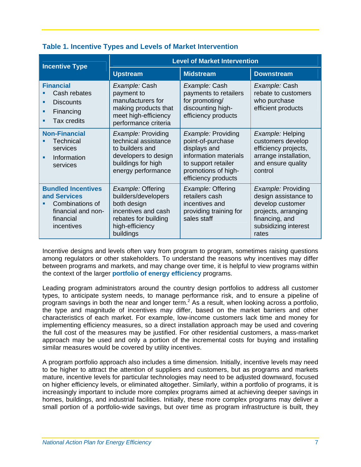<span id="page-10-0"></span>

| <b>Incentive Type</b>                                                                                         | <b>Level of Market Intervention</b>                                                                                                    |                                                                                                                                                       |                                                                                                                                          |
|---------------------------------------------------------------------------------------------------------------|----------------------------------------------------------------------------------------------------------------------------------------|-------------------------------------------------------------------------------------------------------------------------------------------------------|------------------------------------------------------------------------------------------------------------------------------------------|
|                                                                                                               | <b>Upstream</b>                                                                                                                        | <b>Midstream</b>                                                                                                                                      | <b>Downstream</b>                                                                                                                        |
| <b>Financial</b><br>Cash rebates<br><b>Discounts</b><br>٠<br>Financing<br><b>Tax credits</b><br>٠             | Example: Cash<br>payment to<br>manufacturers for<br>making products that<br>meet high-efficiency<br>performance criteria               | Example: Cash<br>payments to retailers<br>for promoting/<br>discounting high-<br>efficiency products                                                  | Example: Cash<br>rebate to customers<br>who purchase<br>efficient products                                                               |
| <b>Non-Financial</b><br><b>Technical</b><br>services<br>Information<br>٠<br>services                          | Example: Providing<br>technical assistance<br>to builders and<br>developers to design<br>buildings for high<br>energy performance      | Example: Providing<br>point-of-purchase<br>displays and<br>information materials<br>to support retailer<br>promotions of high-<br>efficiency products | Example: Helping<br>customers develop<br>efficiency projects,<br>arrange installation,<br>and ensure quality<br>control                  |
| <b>Bundled Incentives</b><br>and Services<br>Combinations of<br>financial and non-<br>financial<br>incentives | Example: Offering<br>builders/developers<br>both design<br>incentives and cash<br>rebates for building<br>high-efficiency<br>buildings | Example: Offering<br>retailers cash<br>incentives and<br>providing training for<br>sales staff                                                        | Example: Providing<br>design assistance to<br>develop customer<br>projects, arranging<br>financing, and<br>subsidizing interest<br>rates |

#### **Table 1. Incentive Types and Levels of Market Intervention**

Incentive designs and levels often vary from program to program, sometimes raising questions among regulators or other stakeholders. To understand the reasons why incentives may differ between programs and markets, and may change over time, it is helpful to view programs within the context of the larger **portfolio of energy efficiency** programs.

Leading program administrators around the country design portfolios to address all customer types, to anticipate system needs, to manage performance risk, and to ensure a pipeline of program savings in both the near and longer term.<sup>2</sup> As a result, when looking across a portfolio, the type and magnitude of incentives may differ, based on the market barriers and other characteristics of each market. For example, low-income customers lack time and money for implementing efficiency measures, so a direct installation approach may be used and covering the full cost of the measures may be justified. For other residential customers, a mass-market approach may be used and only a portion of the incremental costs for buying and installing similar measures would be covered by utility incentives.

A program portfolio approach also includes a time dimension. Initially, incentive levels may need to be higher to attract the attention of suppliers and customers, but as programs and markets mature, incentive levels for particular technologies may need to be adjusted downward, focused on higher efficiency levels, or eliminated altogether. Similarly, within a portfolio of programs, it is increasingly important to include more complex programs aimed at achieving deeper savings in homes, buildings, and industrial facilities. Initially, these more complex programs may deliver a small portion of a portfolio-wide savings, but over time as program infrastructure is built, they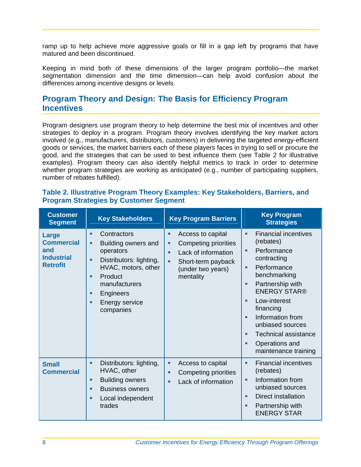ramp up to help achieve more aggressive goals or fill in a gap left by programs that have matured and been discontinued.

Keeping in mind both of these dimensions of the larger program portfolio—the market segmentation dimension and the time dimension—can help avoid confusion about the differences among incentive designs or levels.

#### <span id="page-11-0"></span>**Program Theory and Design: The Basis for Efficiency Program Incentives**

Program designers use program theory to help determine the best mix of incentives and other strategies to deploy in a program. Program theory involves identifying the key market actors involved (e.g., manufacturers, distributors, customers) in delivering the targeted energy-efficient goods or services, the market barriers each of these players faces in trying to sell or procure the good, and the strategies that can be used to best influence them (see [Table 2](#page-11-1) for illustrative examples). Program theory can also identify helpful metrics to track in order to determine whether program strategies are working as anticipated (e.g., number of participating suppliers, number of rebates fulfilled).

<span id="page-11-1"></span>

| Table 2. Illustrative Program Theory Examples: Key Stakeholders, Barriers, and |  |
|--------------------------------------------------------------------------------|--|
| <b>Program Strategies by Customer Segment</b>                                  |  |

| <b>Customer</b><br><b>Segment</b>                                         | <b>Key Stakeholders</b>                                                                                                                                                                                  | <b>Key Program Barriers</b>                                                                                                                  | <b>Key Program</b><br><b>Strategies</b>                                                                                                                                                                                                                                                                                                |
|---------------------------------------------------------------------------|----------------------------------------------------------------------------------------------------------------------------------------------------------------------------------------------------------|----------------------------------------------------------------------------------------------------------------------------------------------|----------------------------------------------------------------------------------------------------------------------------------------------------------------------------------------------------------------------------------------------------------------------------------------------------------------------------------------|
| Large<br><b>Commercial</b><br>and<br><b>Industrial</b><br><b>Retrofit</b> | Contractors<br>٠<br>Building owners and<br>п<br>operators<br>Distributors: lighting,<br>D.<br>HVAC, motors, other<br>Product<br>п<br>manufacturers<br>Engineers<br>п<br>Energy service<br>٠<br>companies | Access to capital<br>٠<br>Competing priorities<br>٠<br>Lack of information<br>٠<br>Short-term payback<br>٠<br>(under two years)<br>mentality | <b>Financial incentives</b><br>٠<br>(rebates)<br>Performance<br>٠<br>contracting<br>Performance<br>٠<br>benchmarking<br>Partnership with<br>٠<br><b>ENERGY STAR®</b><br>Low-interest<br>٠<br>financing<br>Information from<br>٠<br>unbiased sources<br><b>Technical assistance</b><br>٠<br>Operations and<br>٠<br>maintenance training |
| <b>Small</b><br><b>Commercial</b>                                         | Distributors: lighting,<br>٠<br>HVAC, other<br><b>Building owners</b><br>٠<br><b>Business owners</b><br>٠<br>Local independent<br>п<br>trades                                                            | Access to capital<br>٠<br>Competing priorities<br>٠<br>Lack of information<br>٠                                                              | <b>Financial incentives</b><br>٠<br>(rebates)<br>Information from<br>٠<br>unbiased sources<br><b>Direct installation</b><br>٠<br>Partnership with<br>٠<br><b>ENERGY STAR</b>                                                                                                                                                           |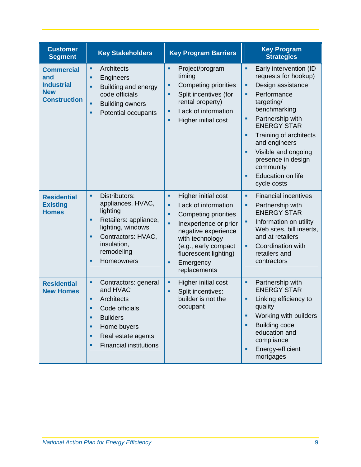| <b>Customer</b><br><b>Segment</b>                                                  | <b>Key Stakeholders</b>                                                                                                                                                                 | <b>Key Program Barriers</b>                                                                                                                                                                                                                          | <b>Key Program</b><br><b>Strategies</b>                                                                                                                                                                                                                                                                                                         |
|------------------------------------------------------------------------------------|-----------------------------------------------------------------------------------------------------------------------------------------------------------------------------------------|------------------------------------------------------------------------------------------------------------------------------------------------------------------------------------------------------------------------------------------------------|-------------------------------------------------------------------------------------------------------------------------------------------------------------------------------------------------------------------------------------------------------------------------------------------------------------------------------------------------|
| <b>Commercial</b><br>and<br><b>Industrial</b><br><b>New</b><br><b>Construction</b> | Architects<br>٠<br>Engineers<br>٠<br>Building and energy<br>code officials<br><b>Building owners</b><br>٠<br>Potential occupants<br>٠                                                   | Project/program<br>٠<br>timing<br>Competing priorities<br>٠<br>Split incentives (for<br>a,<br>rental property)<br>Lack of information<br>٠<br>Higher initial cost<br>٠                                                                               | Early intervention (ID<br>٠<br>requests for hookup)<br>Design assistance<br>٠<br>Performance<br>Ē,<br>targeting/<br>benchmarking<br>Partnership with<br>٠<br><b>ENERGY STAR</b><br>Training of architects<br>Ė<br>and engineers<br>Visible and ongoing<br>Ē,<br>presence in design<br>community<br><b>Education on life</b><br>г<br>cycle costs |
| <b>Residential</b><br><b>Existing</b><br><b>Homes</b>                              | Distributors:<br>٠<br>appliances, HVAC,<br>lighting<br>Retailers: appliance,<br>٠<br>lighting, windows<br>Contractors: HVAC,<br>٠<br>insulation,<br>remodeling<br>Homeowners<br>٠       | Higher initial cost<br>٠<br>Lack of information<br>٠<br><b>Competing priorities</b><br>٠<br>Inexperience or prior<br>a,<br>negative experience<br>with technology<br>(e.g., early compact<br>fluorescent lighting)<br>Emergency<br>٠<br>replacements | <b>Financial incentives</b><br>٠<br>Partnership with<br>٠<br><b>ENERGY STAR</b><br>Information on utility<br>Ē,<br>Web sites, bill inserts,<br>and at retailers<br>Coordination with<br>٠<br>retailers and<br>contractors                                                                                                                       |
| <b>Residential</b><br><b>New Homes</b>                                             | ٠<br>Contractors: general<br>and HVAC<br>Architects<br>٠<br>Code officials<br><b>Builders</b><br>п<br>Home buyers<br>٠<br>Real estate agents<br>٠<br><b>Financial institutions</b><br>٠ | Higher initial cost<br>٠<br>Split incentives:<br>٠<br>builder is not the<br>occupant                                                                                                                                                                 | a,<br>Partnership with<br><b>ENERGY STAR</b><br>Linking efficiency to<br>п<br>quality<br>Working with builders<br>Ė<br><b>Building code</b><br>Ē,<br>education and<br>compliance<br>Energy-efficient<br>×<br>mortgages                                                                                                                          |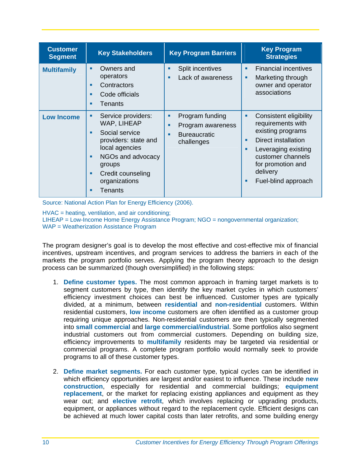| <b>Customer</b><br><b>Segment</b> | <b>Key Stakeholders</b>                                                                                                                                                                           | <b>Key Program Barriers</b>                                                              | <b>Key Program</b><br><b>Strategies</b>                                                                                                                                                          |
|-----------------------------------|---------------------------------------------------------------------------------------------------------------------------------------------------------------------------------------------------|------------------------------------------------------------------------------------------|--------------------------------------------------------------------------------------------------------------------------------------------------------------------------------------------------|
| <b>Multifamily</b>                | Owners and<br>٠<br>operators<br>Contractors<br>п<br>Code officials<br>п<br>Tenants                                                                                                                | Split incentives<br>٠<br>Lack of awareness<br>٠                                          | <b>Financial incentives</b><br>Marketing through<br>owner and operator<br>associations                                                                                                           |
| <b>Low Income</b>                 | Service providers:<br>٠<br>WAP, LIHEAP<br>Social service<br>п<br>providers: state and<br>local agencies<br>NGOs and advocacy<br>п<br>groups<br>Credit counseling<br>٠<br>organizations<br>Tenants | Program funding<br>٠<br>Program awareness<br>٠<br><b>Bureaucratic</b><br>٠<br>challenges | Consistent eligibility<br>٠<br>requirements with<br>existing programs<br>Direct installation<br>Leveraging existing<br>customer channels<br>for promotion and<br>delivery<br>Fuel-blind approach |

Source: National Action Plan for Energy Efficiency (2006).

HVAC = heating, ventilation, and air conditioning; LIHEAP = Low-Income Home Energy Assistance Program; NGO = nongovernmental organization; WAP = Weatherization Assistance Program

The program designer's goal is to develop the most effective and cost-effective mix of financial incentives, upstream incentives, and program services to address the barriers in each of the markets the program portfolio serves. Applying the program theory approach to the design process can be summarized (though oversimplified) in the following steps:

- 1. **Define customer types.** The most common approach in framing target markets is to segment customers by type, then identify the key market cycles in which customers' efficiency investment choices can best be influenced. Customer types are typically divided, at a minimum, between **residential** and **non-residential** customers. Within residential customers, **low income** customers are often identified as a customer group requiring unique approaches. Non-residential customers are then typically segmented into **small commercial** and **large commercial/industrial**. Some portfolios also segment industrial customers out from commercial customers. Depending on building size, efficiency improvements to **multifamily** residents may be targeted via residential or commercial programs. A complete program portfolio would normally seek to provide programs to all of these customer types.
- 2. **Define market segments.** For each customer type, typical cycles can be identified in which efficiency opportunities are largest and/or easiest to influence. These include **new construction**, especially for residential and commercial buildings; **equipment replacement**, or the market for replacing existing appliances and equipment as they wear out; and **elective retrofit**, which involves replacing or upgrading products, equipment, or appliances without regard to the replacement cycle. Efficient designs can be achieved at much lower capital costs than later retrofits, and some building energy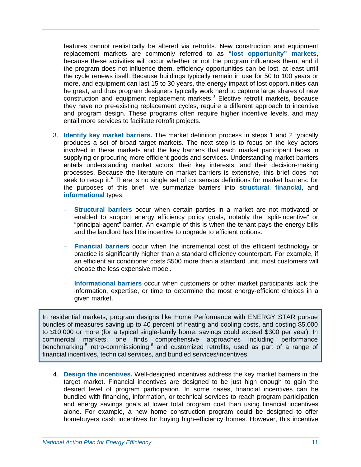features cannot realistically be altered via retrofits. New construction and equipment replacement markets are commonly referred to as **"lost opportunity" markets**, because these activities will occur whether or not the program influences them, and if the program does not influence them, efficiency opportunities can be lost, at least until the cycle renews itself. Because buildings typically remain in use for 50 to 100 years or more, and equipment can last 15 to 30 years, the energy impact of lost opportunities can be great, and thus program designers typically work hard to capture large shares of new construction and equipment replacement markets.<sup>3</sup> Elective retrofit markets, because they have no pre-existing replacement cycles, require a different approach to incentive and program design. These programs often require higher incentive levels, and may entail more services to facilitate retrofit projects.

- 3. **Identify key market barriers.** The market definition process in steps 1 and 2 typically produces a set of broad target markets. The next step is to focus on the key actors involved in these markets and the key barriers that each market participant faces in supplying or procuring more efficient goods and services. Understanding market barriers entails understanding market actors, their key interests, and their decision-making processes. Because the literature on market barriers is extensive, this brief does not seek to recap it.<sup>4</sup> There is no single set of consensus definitions for market barriers: for the purposes of this brief, we summarize barriers into **structural**, **financial**, and **informational** types.
	- **Structural barriers** occur when certain parties in a market are not motivated or enabled to support energy efficiency policy goals, notably the "split-incentive" or "principal-agent" barrier. An example of this is when the tenant pays the energy bills and the landlord has little incentive to upgrade to efficient options.
	- **Financial barriers** occur when the incremental cost of the efficient technology or practice is significantly higher than a standard efficiency counterpart. For example, if an efficient air conditioner costs \$500 more than a standard unit, most customers will choose the less expensive model.
	- **Informational barriers** occur when customers or other market participants lack the information, expertise, or time to determine the most energy-efficient choices in a given market.

In residential markets, program designs like Home Performance with ENERGY STAR pursue bundles of measures saving up to 40 percent of heating and cooling costs, and costing \$5,000 to \$10,000 or more (for a typical single-family home, savings could exceed \$300 per year). In commercial markets, one finds comprehensive approaches including performance benchmarking,<sup>5</sup> retro-commissioning,<sup>6</sup> and customized retrofits, used as part of a range of financial incentives, technical services, and bundled services/incentives.

4. **Design the incentives.** Well-designed incentives address the key market barriers in the target market. Financial incentives are designed to be just high enough to gain the desired level of program participation. In some cases, financial incentives can be bundled with financing, information, or technical services to reach program participation and energy savings goals at lower total program cost than using financial incentives alone. For example, a new home construction program could be designed to offer homebuyers cash incentives for buying high-efficiency homes. However, this incentive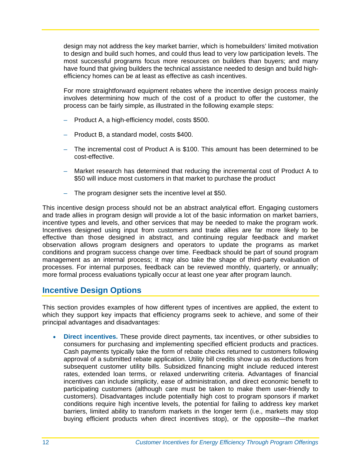design may not address the key market barrier, which is homebuilders' limited motivation to design and build such homes, and could thus lead to very low participation levels. The most successful programs focus more resources on builders than buyers; and many have found that giving builders the technical assistance needed to design and build highefficiency homes can be at least as effective as cash incentives.

For more straightforward equipment rebates where the incentive design process mainly involves determining how much of the cost of a product to offer the customer, the process can be fairly simple, as illustrated in the following example steps:

- Product A, a high-efficiency model, costs \$500.
- Product B, a standard model, costs \$400.
- The incremental cost of Product A is \$100. This amount has been determined to be cost-effective.
- Market research has determined that reducing the incremental cost of Product A to \$50 will induce most customers in that market to purchase the product
- The program designer sets the incentive level at \$50.

This incentive design process should not be an abstract analytical effort. Engaging customers and trade allies in program design will provide a lot of the basic information on market barriers, incentive types and levels, and other services that may be needed to make the program work. Incentives designed using input from customers and trade allies are far more likely to be effective than those designed in abstract, and continuing regular feedback and market observation allows program designers and operators to update the programs as market conditions and program success change over time. Feedback should be part of sound program management as an internal process; it may also take the shape of third-party evaluation of processes. For internal purposes, feedback can be reviewed monthly, quarterly, or annually; more formal process evaluations typically occur at least one year after program launch.

#### <span id="page-15-0"></span>**Incentive Design Options**

This section provides examples of how different types of incentives are applied, the extent to which they support key impacts that efficiency programs seek to achieve, and some of their principal advantages and disadvantages:

 **Direct incentives.** These provide direct payments, tax incentives, or other subsidies to consumers for purchasing and implementing specified efficient products and practices. Cash payments typically take the form of rebate checks returned to customers following approval of a submitted rebate application. Utility bill credits show up as deductions from subsequent customer utility bills. Subsidized financing might include reduced interest rates, extended loan terms, or relaxed underwriting criteria. Advantages of financial incentives can include simplicity, ease of administration, and direct economic benefit to participating customers (although care must be taken to make them user-friendly to customers). Disadvantages include potentially high cost to program sponsors if market conditions require high incentive levels, the potential for failing to address key market barriers, limited ability to transform markets in the longer term (i.e., markets may stop buying efficient products when direct incentives stop), or the opposite—the market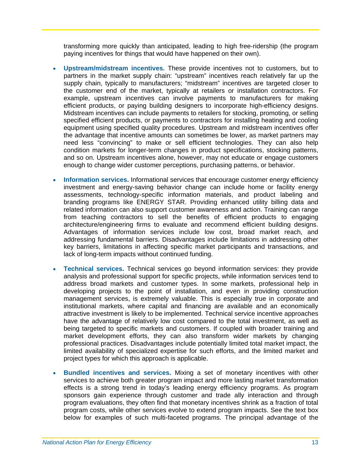transforming more quickly than anticipated, leading to high free-ridership (the program paying incentives for things that would have happened on their own).

- **Upstream/midstream incentives.** These provide incentives not to customers, but to partners in the market supply chain: "upstream" incentives reach relatively far up the supply chain, typically to manufacturers; "midstream" incentives are targeted closer to the customer end of the market, typically at retailers or installation contractors. For example, upstream incentives can involve payments to manufacturers for making efficient products, or paying building designers to incorporate high-efficiency designs. Midstream incentives can include payments to retailers for stocking, promoting, or selling specified efficient products, or payments to contractors for installing heating and cooling equipment using specified quality procedures. Upstream and midstream incentives offer the advantage that incentive amounts can sometimes be lower, as market partners may need less "convincing" to make or sell efficient technologies. They can also help condition markets for longer-term changes in product specifications, stocking patterns, and so on. Upstream incentives alone, however, may not educate or engage customers enough to change wider customer perceptions, purchasing patterns, or behavior.
- **Information services.** Informational services that encourage customer energy efficiency investment and energy-saving behavior change can include home or facility energy assessments, technology-specific information materials, and product labeling and branding programs like ENERGY STAR. Providing enhanced utility billing data and related information can also support customer awareness and action. Training can range from teaching contractors to sell the benefits of efficient products to engaging architecture/engineering firms to evaluate and recommend efficient building designs. Advantages of information services include low cost, broad market reach, and addressing fundamental barriers. Disadvantages include limitations in addressing other key barriers, limitations in affecting specific market participants and transactions, and lack of long-term impacts without continued funding.
- **Technical services.** Technical services go beyond information services: they provide analysis and professional support for specific projects, while information services tend to address broad markets and customer types. In some markets, professional help in developing projects to the point of installation, and even in providing construction management services, is extremely valuable. This is especially true in corporate and institutional markets, where capital and financing are available and an economically attractive investment is likely to be implemented. Technical service incentive approaches have the advantage of relatively low cost compared to the total investment, as well as being targeted to specific markets and customers. If coupled with broader training and market development efforts, they can also transform wider markets by changing professional practices. Disadvantages include potentially limited total market impact, the limited availability of specialized expertise for such efforts, and the limited market and project types for which this approach is applicable.
- **Bundled incentives and services.** Mixing a set of monetary incentives with other services to achieve both greater program impact and more lasting market transformation effects is a strong trend in today's leading energy efficiency programs. As program sponsors gain experience through customer and trade ally interaction and through program evaluations, they often find that monetary incentives shrink as a fraction of total program costs, while other services evolve to extend program impacts. See the text box below for examples of such multi-faceted programs. The principal advantage of the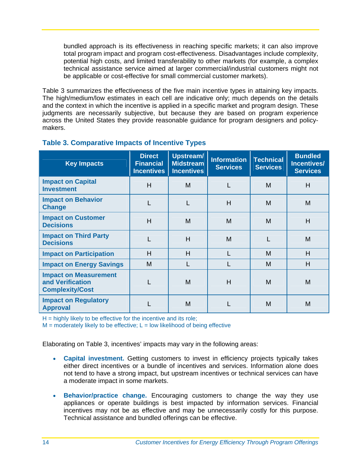bundled approach is its effectiveness in reaching specific markets; it can also improve total program impact and program cost-effectiveness. Disadvantages include complexity, potential high costs, and limited transferability to other markets (for example, a complex technical assistance service aimed at larger commercial/industrial customers might not be applicable or cost-effective for small commercial customer markets).

[Table 3](#page-17-0) summarizes the effectiveness of the five main incentive types in attaining key impacts. The high/medium/low estimates in each cell are indicative only; much depends on the details and the context in which the incentive is applied in a specific market and program design. These judgments are necessarily subjective, but because they are based on program experience across the United States they provide reasonable guidance for program designers and policymakers.

<span id="page-17-0"></span>

| <b>Key Impacts</b>                                                         | <b>Direct</b><br><b>Financial</b><br><b>Incentives</b> | Upstream/<br><b>Midstream</b><br><b>Incentives</b> | <b>Information</b><br><b>Services</b> | <b>Technical</b><br><b>Services</b> | <b>Bundled</b><br>Incentives/<br><b>Services</b> |
|----------------------------------------------------------------------------|--------------------------------------------------------|----------------------------------------------------|---------------------------------------|-------------------------------------|--------------------------------------------------|
| <b>Impact on Capital</b><br><b>Investment</b>                              | H                                                      | M                                                  |                                       | M                                   | H                                                |
| <b>Impact on Behavior</b><br>Change                                        | L                                                      | L                                                  | н                                     | M                                   | M                                                |
| <b>Impact on Customer</b><br><b>Decisions</b>                              | H                                                      | M                                                  | M                                     | M                                   | H                                                |
| <b>Impact on Third Party</b><br><b>Decisions</b>                           |                                                        | H                                                  | M                                     |                                     | M                                                |
| <b>Impact on Participation</b>                                             | H                                                      | H                                                  |                                       | M                                   | H                                                |
| <b>Impact on Energy Savings</b>                                            | м                                                      | L                                                  |                                       | M                                   | H                                                |
| <b>Impact on Measurement</b><br>and Verification<br><b>Complexity/Cost</b> |                                                        | M                                                  | H                                     | M                                   | M                                                |
| <b>Impact on Regulatory</b><br><b>Approval</b>                             |                                                        | м                                                  |                                       | М                                   | M                                                |

#### **Table 3. Comparative Impacts of Incentive Types**

 $H =$  highly likely to be effective for the incentive and its role;

 $M$  = moderately likely to be effective;  $L$  = low likelihood of being effective

Elaborating on [Table 3,](#page-17-0) incentives' impacts may vary in the following areas:

- **Capital investment.** Getting customers to invest in efficiency projects typically takes either direct incentives or a bundle of incentives and services. Information alone does not tend to have a strong impact, but upstream incentives or technical services can have a moderate impact in some markets.
- **Behavior/practice change.** Encouraging customers to change the way they use appliances or operate buildings is best impacted by information services. Financial incentives may not be as effective and may be unnecessarily costly for this purpose. Technical assistance and bundled offerings can be effective.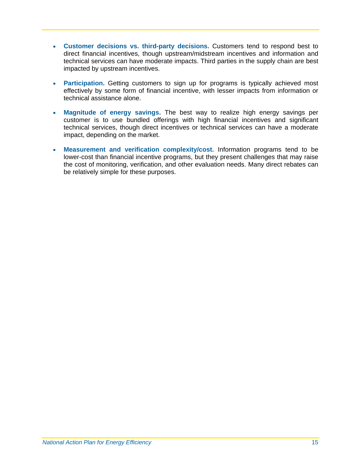- **Customer decisions vs. third-party decisions.** Customers tend to respond best to direct financial incentives, though upstream/midstream incentives and information and technical services can have moderate impacts. Third parties in the supply chain are best impacted by upstream incentives.
- **Participation.** Getting customers to sign up for programs is typically achieved most effectively by some form of financial incentive, with lesser impacts from information or technical assistance alone.
- **Magnitude of energy savings.** The best way to realize high energy savings per customer is to use bundled offerings with high financial incentives and significant technical services, though direct incentives or technical services can have a moderate impact, depending on the market.
- **Measurement and verification complexity/cost.** Information programs tend to be lower-cost than financial incentive programs, but they present challenges that may raise the cost of monitoring, verification, and other evaluation needs. Many direct rebates can be relatively simple for these purposes.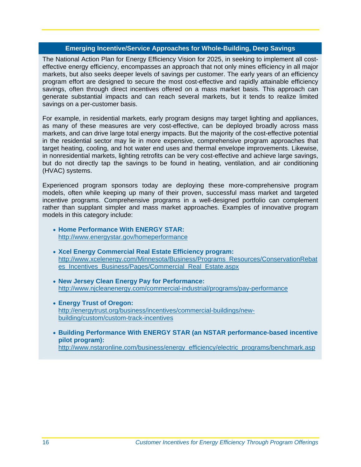#### **Emerging Incentive/Service Approaches for Whole-Building, Deep Savings**

The National Action Plan for Energy Efficiency Vision for 2025, in seeking to implement all costeffective energy efficiency, encompasses an approach that not only mines efficiency in all major markets, but also seeks deeper levels of savings per customer. The early years of an efficiency program effort are designed to secure the most cost-effective and rapidly attainable efficiency savings, often through direct incentives offered on a mass market basis. This approach can generate substantial impacts and can reach several markets, but it tends to realize limited savings on a per-customer basis.

For example, in residential markets, early program designs may target lighting and appliances, as many of these measures are very cost-effective, can be deployed broadly across mass markets, and can drive large total energy impacts. But the majority of the cost-effective potential in the residential sector may lie in more expensive, comprehensive program approaches that target heating, cooling, and hot water end uses and thermal envelope improvements. Likewise, in nonresidential markets, lighting retrofits can be very cost-effective and achieve large savings, but do not directly tap the savings to be found in heating, ventilation, and air conditioning (HVAC) systems.

Experienced program sponsors today are deploying these more-comprehensive program models, often while keeping up many of their proven, successful mass market and targeted incentive programs. Comprehensive programs in a well-designed portfolio can complement rather than supplant simpler and mass market approaches. Examples of innovative program models in this category include:

- **Home Performance With ENERGY STAR:** http://www.energystar.gov/homeperformance
- **Xcel Energy Commercial Real Estate Efficiency program:** http://www.xcelenergy.com/Minnesota/Business/Programs\_Resources/ConservationRebat es\_Incentives\_Business/Pages/Commercial\_Real\_Estate.aspx
- **New Jersey Clean Energy Pay for Performance:**  http://www.njcleanenergy.com/commercial-industrial/programs/pay-performance
- **Energy Trust of Oregon:**  http://energytrust.org/business/incentives/commercial-buildings/newbuilding/custom/custom-track-incentives
- **Building Performance With ENERGY STAR (an NSTAR performance-based incentive pilot program):**

http://www.nstaronline.com/business/energy\_efficiency/electric\_programs/benchmark.asp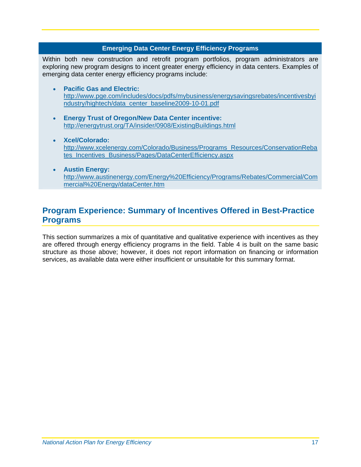#### **Emerging Data Center Energy Efficiency Programs**

<span id="page-20-1"></span>Within both new construction and retrofit program portfolios, program administrators are exploring new program designs to incent greater energy efficiency in data centers. Examples of emerging data center energy efficiency programs include:

- **Pacific Gas and Electric:** http://www.pge.com/includes/docs/pdfs/mybusiness/energysavingsrebates/incentivesbyi ndustry/hightech/data\_center\_baseline2009-10-01.pdf
- **Energy Trust of Oregon/New Data Center incentive:** http://energytrust.org/TA/insider/0908/ExistingBuildings.html
- **Xcel/Colorado:** http://www.xcelenergy.com/Colorado/Business/Programs\_Resources/ConservationReba tes\_Incentives\_Business/Pages/DataCenterEfficiency.aspx
- **Austin Energy:** http://www.austinenergy.com/Energy%20Efficiency/Programs/Rebates/Commercial/Com mercial%20Energy/dataCenter.htm

#### <span id="page-20-0"></span>**Program Experience: Summary of Incentives Offered in Best-Practice Programs**

This section summarizes a mix of quantitative and qualitative experience with incentives as they are offered through energy efficiency programs in the field. [Table 4](#page-21-0) is built on the same basic structure as those above; however, it does not report information on financing or information services, as available data were either insufficient or unsuitable for this summary format.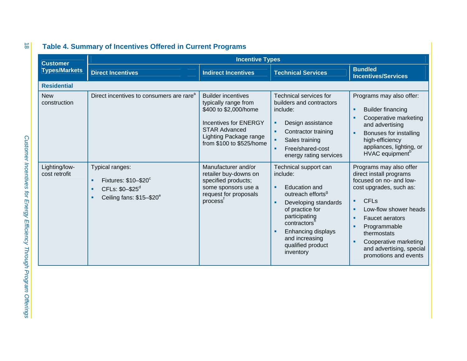<span id="page-21-0"></span>

| <b>Customer</b>                |                                                                                                                   | <b>Incentive Types</b>                                                                                                                                                                   |                                                                                                                                                                                                                                                                             |                                                                                                                                                                                                                                                                                                         |
|--------------------------------|-------------------------------------------------------------------------------------------------------------------|------------------------------------------------------------------------------------------------------------------------------------------------------------------------------------------|-----------------------------------------------------------------------------------------------------------------------------------------------------------------------------------------------------------------------------------------------------------------------------|---------------------------------------------------------------------------------------------------------------------------------------------------------------------------------------------------------------------------------------------------------------------------------------------------------|
| <b>Types/Markets</b>           | <b>Direct Incentives</b>                                                                                          | <b>Indirect Incentives</b>                                                                                                                                                               | <b>Technical Services</b>                                                                                                                                                                                                                                                   | <b>Bundled</b><br><b>Incentives/Services</b>                                                                                                                                                                                                                                                            |
| <b>Residential</b>             |                                                                                                                   |                                                                                                                                                                                          |                                                                                                                                                                                                                                                                             |                                                                                                                                                                                                                                                                                                         |
| <b>New</b><br>construction     | Direct incentives to consumers are rare <sup>a</sup>                                                              | <b>Builder incentives</b><br>typically range from<br>\$400 to \$2,000/home<br><b>Incentives for ENERGY</b><br><b>STAR Advanced</b><br>Lighting Package range<br>from \$100 to \$525/home | <b>Technical services for</b><br>builders and contractors<br>include:<br>Design assistance<br>٠<br>Contractor training<br>٠<br>Sales training<br>×<br>Free/shared-cost<br>×<br>energy rating services                                                                       | Programs may also offer:<br><b>Builder financing</b><br>×,<br>Cooperative marketing<br>and advertising<br>Bonuses for installing<br>high-efficiency<br>appliances, lighting, or<br>HVAC equipment <sup>b</sup>                                                                                          |
| Lighting/low-<br>cost retrofit | Typical ranges:<br>Fixtures: \$10-\$20°<br>٠<br>CFLs: \$0-\$25 <sup>d</sup><br>٠<br>Ceiling fans: \$15-\$20°<br>٠ | Manufacturer and/or<br>retailer buy-downs on<br>specified products;<br>some sponsors use a<br>request for proposals<br>process <sup>t</sup>                                              | Technical support can<br>include:<br><b>Education and</b><br>٠<br>outreach efforts <sup>9</sup><br>Developing standards<br>٠<br>of practice for<br>participating<br>contractors <sup>h</sup><br>Enhancing displays<br>٠<br>and increasing<br>qualified product<br>inventory | Programs may also offer<br>direct install programs<br>focused on no- and low-<br>cost upgrades, such as:<br><b>CFL<sub>s</sub></b><br>п<br>Low-flow shower heads<br><b>Faucet aerators</b><br>Programmable<br>thermostats<br>Cooperative marketing<br>and advertising, special<br>promotions and events |

#### **Table 4. Summary of Incentives Offered in Current Programs**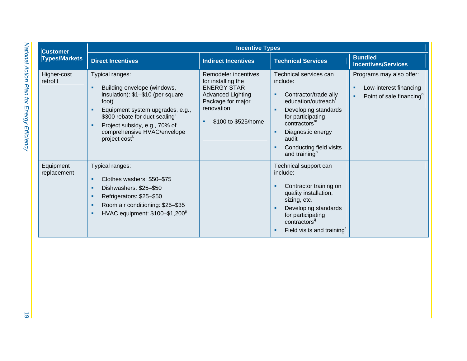| <b>Customer</b>                                     | <b>Incentive Types</b>                                                                                                                                                                                                                                                                                                                                                                                                                                                                                         |                                                                                                                                                         |                                                                                                                                                                                                                                                                                                                                                                                                                                                                                                      |                                                                                                      |
|-----------------------------------------------------|----------------------------------------------------------------------------------------------------------------------------------------------------------------------------------------------------------------------------------------------------------------------------------------------------------------------------------------------------------------------------------------------------------------------------------------------------------------------------------------------------------------|---------------------------------------------------------------------------------------------------------------------------------------------------------|------------------------------------------------------------------------------------------------------------------------------------------------------------------------------------------------------------------------------------------------------------------------------------------------------------------------------------------------------------------------------------------------------------------------------------------------------------------------------------------------------|------------------------------------------------------------------------------------------------------|
| <b>Types/Markets</b>                                | <b>Direct Incentives</b>                                                                                                                                                                                                                                                                                                                                                                                                                                                                                       | <b>Indirect Incentives</b>                                                                                                                              | <b>Technical Services</b>                                                                                                                                                                                                                                                                                                                                                                                                                                                                            | <b>Bundled</b><br><b>Incentives/Services</b>                                                         |
| Higher-cost<br>retrofit<br>Equipment<br>replacement | Typical ranges:<br>Building envelope (windows,<br>٠<br>insulation): \$1-\$10 (per square<br>$foot)$ <sup>i</sup><br>Equipment system upgrades, e.g.,<br>٠<br>\$300 rebate for duct sealing<br>Project subsidy, e.g., 70% of<br>٠<br>comprehensive HVAC/envelope<br>project cost <sup>k</sup><br>Typical ranges:<br>Clothes washers: \$50-\$75<br>٠<br>Dishwashers: \$25-\$50<br>٠<br>Refrigerators: \$25-\$50<br>٠<br>Room air conditioning: \$25-\$35<br>٠<br>HVAC equipment: \$100-\$1,200 <sup>p</sup><br>٠ | Remodeler incentives<br>for installing the<br><b>ENERGY STAR</b><br><b>Advanced Lighting</b><br>Package for major<br>renovation:<br>\$100 to \$525/home | Technical services can<br>include:<br>Contractor/trade ally<br>٠<br>education/outreach<br>Developing standards<br>٠<br>for participating<br>contractors <sup>m</sup><br>Diagnostic energy<br>٠<br>audit<br>Conducting field visits<br>and training <sup>n</sup><br>Technical support can<br>include:<br>Contractor training on<br>٠<br>quality installation,<br>sizing, etc.<br>Developing standards<br>for participating<br>contractors <sup>q</sup><br>Field visits and training <sup>r</sup><br>٠ | Programs may also offer:<br>Low-interest financing<br>٠<br>Point of sale financing <sup>o</sup><br>٠ |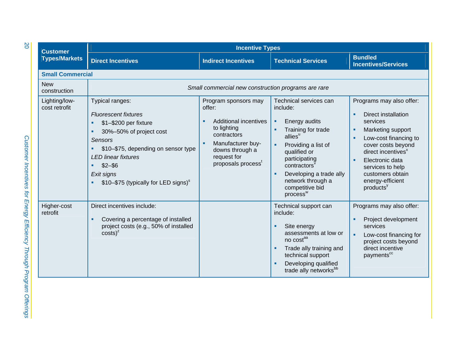| <b>Customer</b><br><b>Types/Markets</b> | <b>Incentive Types</b>                                                                                                                                                                                                                                                            |                                                                                                                                                                                       |                                                                                                                                                                                                                                                                                   |                                                                                                                                                                                                                                                                                               |  |  |
|-----------------------------------------|-----------------------------------------------------------------------------------------------------------------------------------------------------------------------------------------------------------------------------------------------------------------------------------|---------------------------------------------------------------------------------------------------------------------------------------------------------------------------------------|-----------------------------------------------------------------------------------------------------------------------------------------------------------------------------------------------------------------------------------------------------------------------------------|-----------------------------------------------------------------------------------------------------------------------------------------------------------------------------------------------------------------------------------------------------------------------------------------------|--|--|
|                                         | <b>Direct Incentives</b>                                                                                                                                                                                                                                                          | <b>Indirect Incentives</b>                                                                                                                                                            | <b>Technical Services</b>                                                                                                                                                                                                                                                         | <b>Bundled</b><br><b>Incentives/Services</b>                                                                                                                                                                                                                                                  |  |  |
| <b>Small Commercial</b>                 |                                                                                                                                                                                                                                                                                   |                                                                                                                                                                                       |                                                                                                                                                                                                                                                                                   |                                                                                                                                                                                                                                                                                               |  |  |
| <b>New</b><br>construction              | Small commercial new construction programs are rare                                                                                                                                                                                                                               |                                                                                                                                                                                       |                                                                                                                                                                                                                                                                                   |                                                                                                                                                                                                                                                                                               |  |  |
| Lighting/low-<br>cost retrofit          | Typical ranges:<br><b>Fluorescent fixtures</b><br>\$1-\$200 per fixture<br>٠<br>30%-50% of project cost<br>Sensors<br>\$10-\$75, depending on sensor type<br>٠<br><b>LED linear fixtures</b><br>$$2 - $6$<br>٠<br>Exit signs<br>\$10-\$75 (typically for LED signs) <sup>\$</sup> | Program sponsors may<br>offer:<br><b>Additional incentives</b><br>to lighting<br>contractors<br>Manufacturer buy-<br>downs through a<br>request for<br>proposals process <sup>t</sup> | Technical services can<br>include:<br>Energy audits<br>٠<br>Training for trade<br>allies <sup>u</sup><br>Providing a list of<br>٠<br>qualified or<br>participating<br>contractors<br>Developing a trade ally<br>٠<br>network through a<br>competitive bid<br>process <sup>w</sup> | Programs may also offer:<br>Direct installation<br>×<br>services<br>Marketing support<br>л<br>Low-cost financing to<br>×<br>cover costs beyond<br>direct incentives <sup>x</sup><br>Electronic data<br>×<br>services to help<br>customers obtain<br>energy-efficient<br>products <sup>y</sup> |  |  |
| Higher-cost<br>retrofit                 | Direct incentives include:<br>Covering a percentage of installed<br>٠<br>project costs (e.g., 50% of installed<br>$costs)^2$                                                                                                                                                      |                                                                                                                                                                                       | Technical support can<br>include:<br>Site energy<br>assessments at low or<br>no costa<br>Trade ally training and<br>technical support<br>Developing qualified<br>trade ally networks <sup>bb</sup>                                                                                | Programs may also offer:<br>Project development<br>п<br>services<br>Low-cost financing for<br>project costs beyond<br>direct incentive<br>payments <sup>cc</sup>                                                                                                                              |  |  |

20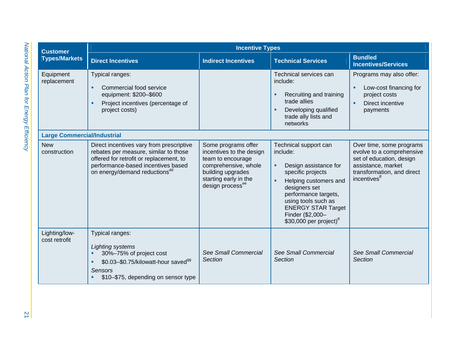| <b>Customer</b><br><b>Types/Markets</b> | <b>Incentive Types</b>                                                                                                                                                                                          |                                                                                                                                                                            |                                                                                                                                                                                                                                                                            |                                                                                                                                                                   |  |
|-----------------------------------------|-----------------------------------------------------------------------------------------------------------------------------------------------------------------------------------------------------------------|----------------------------------------------------------------------------------------------------------------------------------------------------------------------------|----------------------------------------------------------------------------------------------------------------------------------------------------------------------------------------------------------------------------------------------------------------------------|-------------------------------------------------------------------------------------------------------------------------------------------------------------------|--|
|                                         | <b>Direct Incentives</b>                                                                                                                                                                                        | <b>Indirect Incentives</b>                                                                                                                                                 | <b>Technical Services</b>                                                                                                                                                                                                                                                  | <b>Bundled</b><br><b>Incentives/Services</b>                                                                                                                      |  |
| Equipment<br>replacement                | Typical ranges:<br>Commercial food service<br>٠<br>equipment: \$200-\$600<br>Project incentives (percentage of<br>٠<br>project costs)                                                                           |                                                                                                                                                                            | Technical services can<br>include:<br>Recruiting and training<br>trade allies<br>Developing qualified<br>trade ally lists and<br>networks                                                                                                                                  | Programs may also offer:<br>Low-cost financing for<br>٠<br>project costs<br>Direct incentive<br>×<br>payments                                                     |  |
| <b>Large Commercial/Industrial</b>      |                                                                                                                                                                                                                 |                                                                                                                                                                            |                                                                                                                                                                                                                                                                            |                                                                                                                                                                   |  |
| <b>New</b><br>construction              | Direct incentives vary from prescriptive<br>rebates per measure, similar to those<br>offered for retrofit or replacement, to<br>performance-based incentives based<br>on energy/demand reductions <sup>dd</sup> | Some programs offer<br>incentives to the design<br>team to encourage<br>comprehensive, whole<br>building upgrades<br>starting early in the<br>design process <sup>ee</sup> | Technical support can<br>include:<br>Design assistance for<br>٠<br>specific projects<br>Helping customers and<br>٠<br>designers set<br>performance targets,<br>using tools such as<br><b>ENERGY STAR Target</b><br>Finder (\$2,000-<br>\$30,000 per project) <sup>ff</sup> | Over time, some programs<br>evolve to a comprehensive<br>set of education, design<br>assistance, market<br>transformation, and direct<br>incentives <sup>ff</sup> |  |
| Lighting/low-<br>cost retrofit          | Typical ranges:<br>Lighting systems<br>30%-75% of project cost<br>٠<br>\$0.03-\$0.75/kilowatt-hour saved <sup>99</sup><br>٠<br><b>Sensors</b><br>\$10-\$75, depending on sensor type<br>٠                       | See Small Commercial<br>Section                                                                                                                                            | See Small Commercial<br>Section                                                                                                                                                                                                                                            | See Small Commercial<br><b>Section</b>                                                                                                                            |  |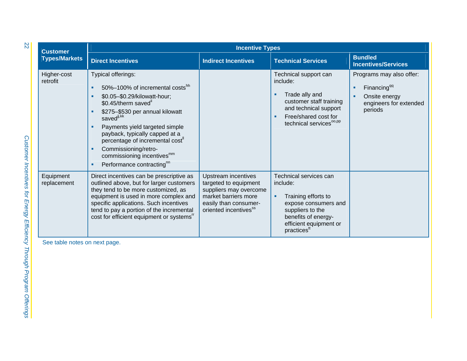| <b>Customer</b><br><b>Types/Markets</b> | <b>Incentive Types</b>                                                                                                                                                                                                                                                                                                                                                                                         |                                                                                                                                                                     |                                                                                                                                                                                        |                                                                                                           |  |
|-----------------------------------------|----------------------------------------------------------------------------------------------------------------------------------------------------------------------------------------------------------------------------------------------------------------------------------------------------------------------------------------------------------------------------------------------------------------|---------------------------------------------------------------------------------------------------------------------------------------------------------------------|----------------------------------------------------------------------------------------------------------------------------------------------------------------------------------------|-----------------------------------------------------------------------------------------------------------|--|
|                                         | <b>Direct Incentives</b>                                                                                                                                                                                                                                                                                                                                                                                       | <b>Indirect Incentives</b>                                                                                                                                          | <b>Technical Services</b>                                                                                                                                                              | <b>Bundled</b><br><b>Incentives/Services</b>                                                              |  |
| Higher-cost<br>retrofit                 | Typical offerings:<br>50%-100% of incremental costshh<br>٠<br>\$0.05-\$0.29/kilowatt-hour;<br>٠<br>\$0.45/therm saved"<br>\$275-\$530 per annual kilowatt<br>٠<br>savedij, kk<br>Payments yield targeted simple<br>٠<br>payback, typically capped at a<br>percentage of incremental cost"<br>Commissioning/retro-<br>٠<br>commissioning incentives <sup>mm</sup><br>Performance contracting <sup>nn</sup><br>٠ |                                                                                                                                                                     | Technical support can<br>include:<br>Trade ally and<br>customer staff training<br>and technical support<br>Free/shared cost for<br>technical services <sup>oo,pp</sup>                 | Programs may also offer:<br>Financing <sup>qq</sup><br>Onsite energy<br>engineers for extended<br>periods |  |
| Equipment<br>replacement                | Direct incentives can be prescriptive as<br>outlined above, but for larger customers<br>they tend to be more customized, as<br>equipment is used in more complex and<br>specific applications. Such incentives<br>tend to pay a portion of the incremental<br>cost for efficient equipment or systems"                                                                                                         | <b>Upstream incentives</b><br>targeted to equipment<br>suppliers may overcome<br>market barriers more<br>easily than consumer-<br>oriented incentives <sup>ss</sup> | Technical services can<br>include:<br>Training efforts to<br>٠<br>expose consumers and<br>suppliers to the<br>benefits of energy-<br>efficient equipment or<br>practices <sup>tt</sup> |                                                                                                           |  |
| See table notes on next page.           |                                                                                                                                                                                                                                                                                                                                                                                                                |                                                                                                                                                                     |                                                                                                                                                                                        |                                                                                                           |  |

22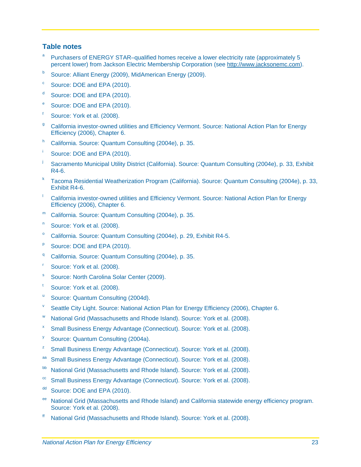#### **Table notes**

- Purchasers of ENERGY STAR–qualified homes receive a lower electricity rate (approximately 5 percent lower) from Jackson Electric Membership Corporation (see http://www.jacksonemc.com).
- **b** Source: Alliant Energy (2009), MidAmerican Energy (2009).
- <sup>c</sup> Source: DOE and EPA (2010).
- <sup>d</sup> Source: DOE and EPA (2010).
- <sup>e</sup> Source: DOE and EPA (2010).
- f Source: York et al. (2008).
- <sup>g</sup> California investor-owned utilities and Efficiency Vermont. Source: National Action Plan for Energy Efficiency (2006), Chapter 6.
- h California. Source: Quantum Consulting (2004e), p. 35.
- Source: DOE and EPA (2010).
- <sup>j</sup> Sacramento Municipal Utility District (California). Source: Quantum Consulting (2004e), p. 33, Exhibit R4-6.
- k Tacoma Residential Weatherization Program (California). Source: Quantum Consulting (2004e), p. 33, Exhibit R4-6.
- California investor-owned utilities and Efficiency Vermont. Source: National Action Plan for Energy Efficiency (2006), Chapter 6.
- m California. Source: Quantum Consulting (2004e), p. 35.
- <sup>n</sup> Source: York et al. (2008).
- <sup>o</sup> California. Source: Quantum Consulting (2004e), p. 29, Exhibit R4-5.
- $P$  Source: DOE and EPA (2010).
- <sup>q</sup> California. Source: Quantum Consulting (2004e), p. 35.
- Source: York et al. (2008).
- <sup>s</sup> Source: North Carolina Solar Center (2009).
- Source: York et al. (2008).
- <sup>u</sup> Source: Quantum Consulting (2004d).
- $V$  Seattle City Light. Source: National Action Plan for Energy Efficiency (2006), Chapter 6.
- w National Grid (Massachusetts and Rhode Island). Source: York et al. (2008).
- Small Business Energy Advantage (Connecticut). Source: York et al. (2008).
- <sup>y</sup> Source: Quantum Consulting (2004a).
- <sup>z</sup> Small Business Energy Advantage (Connecticut). Source: York et al. (2008).
- aa Small Business Energy Advantage (Connecticut). Source: York et al. (2008).
- bb National Grid (Massachusetts and Rhode Island). Source: York et al. (2008).
- <sup>cc</sup> Small Business Energy Advantage (Connecticut). Source: York et al. (2008).
- dd Source: DOE and EPA (2010).
- National Grid (Massachusetts and Rhode Island) and California statewide energy efficiency program. Source: York et al. (2008).
- ff National Grid (Massachusetts and Rhode Island). Source: York et al. (2008).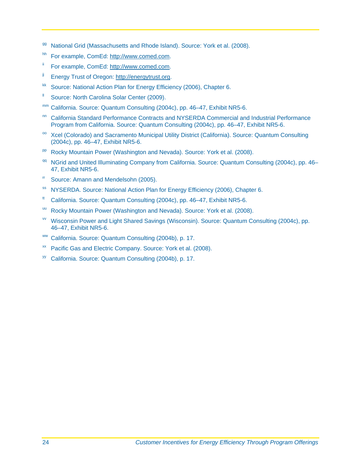- <sup>99</sup> National Grid (Massachusetts and Rhode Island). Source: York et al. (2008).
- hh For example, ComEd: http://www.comed.com.
- ii For example, ComEd: http://www.comed.com.
- <sup>jj</sup> Energy Trust of Oregon: http://energytrust.org.
- kk Source: National Action Plan for Energy Efficiency (2006), Chapter 6.
- <sup>Il</sup> Source: North Carolina Solar Center (2009).
- mm California. Source: Quantum Consulting (2004c), pp. 46–47, Exhibit NR5-6.
- nn California Standard Performance Contracts and NYSERDA Commercial and Industrial Performance Program from California. Source: Quantum Consulting (2004c), pp. 46–47, Exhibit NR5-6.
- <sup>oo</sup> Xcel (Colorado) and Sacramento Municipal Utility District (California). Source: Quantum Consulting (2004c), pp. 46–47, Exhibit NR5-6.
- pp Rocky Mountain Power (Washington and Nevada). Source: York et al. (2008).
- <sup>qq</sup> NGrid and United Illuminating Company from California. Source: Quantum Consulting (2004c), pp. 46– 47, Exhibit NR5-6.
- rr Source: Amann and Mendelsohn (2005).
- ss NYSERDA. Source: National Action Plan for Energy Efficiency (2006), Chapter 6.
- $t$ <sup>t</sup> California. Source: Quantum Consulting (2004c), pp. 46–47, Exhibit NR5-6.
- uu Rocky Mountain Power (Washington and Nevada). Source: York et al. (2008).
- vv Wisconsin Power and Light Shared Savings (Wisconsin). Source: Quantum Consulting (2004c), pp. 46–47, Exhibit NR5-6.
- ww California. Source: Quantum Consulting (2004b), p. 17.
- xx Pacific Gas and Electric Company. Source: York et al. (2008).
- <sup>yy</sup> California. Source: Quantum Consulting (2004b), p. 17.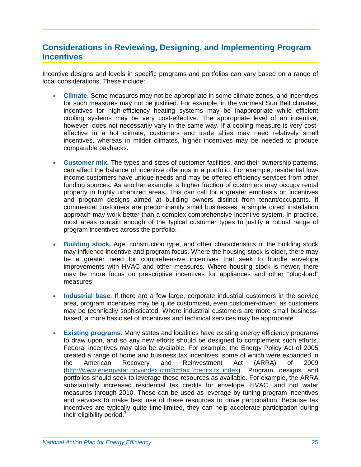#### <span id="page-28-0"></span>**Considerations in Reviewing, Designing, and Implementing Program Incentives**

Incentive designs and levels in specific programs and portfolios can vary based on a range of local considerations. These include:

- **Climate.** Some measures may not be appropriate in some climate zones, and incentives for such measures may not be justified. For example, in the warmest Sun Belt climates, incentives for high-efficiency heating systems may be inappropriate while efficient cooling systems may be very cost-effective. The appropriate level of an incentive, however, does not necessarily vary in the same way. If a cooling measure is very costeffective in a hot climate, customers and trade allies may need relatively small incentives, whereas in milder climates, higher incentives may be needed to produce comparable paybacks.
- **Customer mix.** The types and sizes of customer facilities, and their ownership patterns, can affect the balance of incentive offerings in a portfolio. For example, residential lowincome customers have unique needs and may be offered efficiency services from other funding sources. As another example, a higher fraction of customers may occupy rental property in highly urbanized areas. This can call for a greater emphasis on incentives and program designs aimed at building owners distinct from tenant/occupants. If commercial customers are predominantly small businesses, a simple direct installation approach may work better than a complex comprehensive incentive system. In practice, most areas contain enough of the typical customer types to justify a robust range of program incentives across the portfolio.
- **Building stock.** Age, construction type, and other characteristics of the building stock may influence incentive and program focus. Where the housing stock is older, there may be a greater need for comprehensive incentives that seek to bundle envelope improvements with HVAC and other measures. Where housing stock is newer, there may be more focus on prescriptive incentives for appliances and other "plug-load" measures.
- **Industrial base.** If there are a few large, corporate industrial customers in the service area, program incentives may be quite customized, even customer-driven, as customers may be technically sophisticated. Where industrial customers are more small businessbased, a more basic set of incentives and technical services may be appropriate
- **Existing programs.** Many states and localities have existing energy efficiency programs to draw upon, and so any new efforts should be designed to complement such efforts. Federal incentives may also be available. For example, the Energy Policy Act of 2005 created a range of home and business tax incentives, some of which were expanded in the American Recovery and Reinvestment Act (ARRA) of 2009 (http://www.energystar.gov/index.cfm?c=tax\_credits.tx\_index). Program designs and portfolios should seek to leverage these resources as available. For example, the ARRA substantially increased residential tax credits for envelope, HVAC, and hot water measures through 2010. These can be used as leverage by tuning program incentives and services to make best use of these resources to drive participation. Because tax incentives are typically quite time-limited, they can help accelerate participation during their eligibility period. $<sup>7</sup>$ </sup>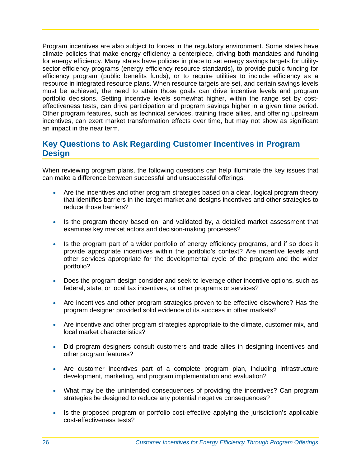Program incentives are also subject to forces in the regulatory environment. Some states have climate policies that make energy efficiency a centerpiece, driving both mandates and funding for energy efficiency. Many states have policies in place to set energy savings targets for utilitysector efficiency programs (energy efficiency resource standards), to provide public funding for efficiency program (public benefits funds), or to require utilities to include efficiency as a resource in integrated resource plans. When resource targets are set, and certain savings levels must be achieved, the need to attain those goals can drive incentive levels and program portfolio decisions. Setting incentive levels somewhat higher, within the range set by costeffectiveness tests, can drive participation and program savings higher in a given time period. Other program features, such as technical services, training trade allies, and offering upstream incentives, can exert market transformation effects over time, but may not show as significant an impact in the near term.

#### <span id="page-29-0"></span>**Key Questions to Ask Regarding Customer Incentives in Program Design**

When reviewing program plans, the following questions can help illuminate the key issues that can make a difference between successful and unsuccessful offerings:

- Are the incentives and other program strategies based on a clear, logical program theory that identifies barriers in the target market and designs incentives and other strategies to reduce those barriers?
- Is the program theory based on, and validated by, a detailed market assessment that examines key market actors and decision-making processes?
- Is the program part of a wider portfolio of energy efficiency programs, and if so does it provide appropriate incentives within the portfolio's context? Are incentive levels and other services appropriate for the developmental cycle of the program and the wider portfolio?
- Does the program design consider and seek to leverage other incentive options, such as federal, state, or local tax incentives, or other programs or services?
- Are incentives and other program strategies proven to be effective elsewhere? Has the program designer provided solid evidence of its success in other markets?
- Are incentive and other program strategies appropriate to the climate, customer mix, and local market characteristics?
- Did program designers consult customers and trade allies in designing incentives and other program features?
- Are customer incentives part of a complete program plan, including infrastructure development, marketing, and program implementation and evaluation?
- What may be the unintended consequences of providing the incentives? Can program strategies be designed to reduce any potential negative consequences?
- Is the proposed program or portfolio cost-effective applying the jurisdiction's applicable cost-effectiveness tests?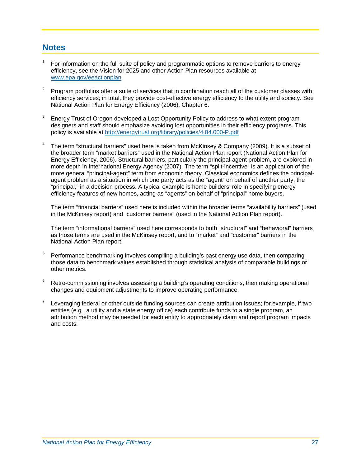#### <span id="page-30-0"></span>**Notes**

- $1$  For information on the full suite of policy and programmatic options to remove barriers to energy efficiency, see the Vision for 2025 and other Action Plan resources available at www.epa.gov/eeactionplan .
- efficiency services; in total, they provide cost-effective energy efficiency to the utility and society. See National Action Plan for Energy Efficiency (2006), Chapter 6. 2 Program portfolios offer a suite of services that in combination reach all of the customer classes with
- policy is available at http://energytrust.org/library/policies/4.04.000-P.pdf 3 Energy Trust of Oregon developed a Lost Opportunity Policy to address to what extent program designers and staff should emphasize avoiding lost opportunities in their efficiency programs. This
- Energy Efficiency, 2006). Structural barriers, particularly the principal-agent problem, are explored in - more general "principal-agent" term from economic theory. Classical economics defines the principal 4 The term "structural barriers" used here is taken from McKinsey & Company (2009). It is a subset of the broader term "market barriers" used in the National Action Plan report (National Action Plan for more depth in International Energy Agency (2007). The term "split-incentive" is an application of the agent problem as a situation in which one party acts as the "agent" on behalf of another party, the "principal," in a decision process. A typical example is home builders' role in specifying energy efficiency features of new homes, acting as "agents" on behalf of "principal" home buyers.

The term "financial barriers" used here is included within the broader terms "availability barriers" (used in the McKinsey report) and "customer barriers" (used in the National Action Plan report).

 The term "informational barriers" used here corresponds to both "structural" and "behavioral" barriers as those terms are used in the McKinsey report, and to "market" and "customer" barriers in the National Action Plan report.

- 5 those data to benchmark values established through statistical analysis of comparable buildings or <sup>5</sup> Performance benchmarking involves compiling a building's past energy use data, then comparing other metrics.
- 6 Retro-commissioning involves assessing a building's operating conditions, then making operational changes and equipment adjustments to improve operating performance.
- attribution method may be needed for each entity to appropriately claim and report program impacts 7 Leveraging federal or other outside funding sources can create attribution issues; for example, if two entities (e.g., a utility and a state energy office) each contribute funds to a single program, an and costs.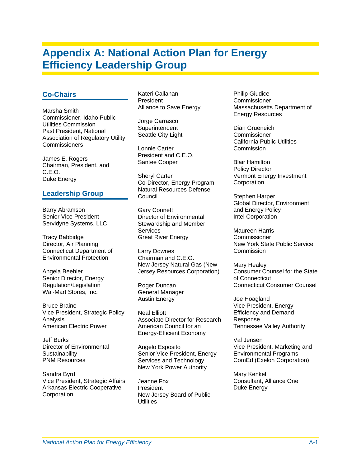# <span id="page-32-0"></span>**Appendix A: National Action Plan for Energy Efficiency Leadership Group**

#### **Co-Chairs**

Marsha Smith Commissioner, Idaho Public Utilities Commission Past President, National Association of Regulatory Utility **Commissioners** 

James E. Rogers Chairman, President, and C.E.O. Duke Energy

#### **Leadership Group**

Barry Abramson Senior Vice President Servidyne Systems, LLC

Tracy Babbidge Director, Air Planning Connecticut Department of Environmental Protection

Angela Beehler Senior Director, Energy Regulation/Legislation Wal-Mart Stores, Inc.

Bruce Braine Vice President, Strategic Policy Analysis American Electric Power

Jeff Burks Director of Environmental **Sustainability** PNM Resources

Sandra Byrd Vice President, Strategic Affairs Arkansas Electric Cooperative Corporation

Kateri Callahan **President** Alliance to Save Energy

Jorge Carrasco **Superintendent** Seattle City Light

Lonnie Carter President and C.E.O. Santee Cooper

Sheryl Carter Co-Director, Energy Program Natural Resources Defense Council

Gary Connett Director of Environmental Stewardship and Member **Services** Great River Energy

Larry Downes Chairman and C.E.O. New Jersey Natural Gas (New Jersey Resources Corporation)

Roger Duncan General Manager Austin Energy

Neal Elliott Associate Director for Research American Council for an Energy-Efficient Economy

Angelo Esposito Senior Vice President, Energy Services and Technology New York Power Authority

Jeanne Fox President New Jersey Board of Public **Utilities** 

Philip Giudice **Commissioner** Massachusetts Department of Energy Resources

Dian Grueneich Commissioner California Public Utilities Commission

Blair Hamilton Policy Director Vermont Energy Investment **Corporation** 

Stephen Harper Global Director, Environment and Energy Policy Intel Corporation

Maureen Harris **Commissioner** New York State Public Service Commission

Mary Healey Consumer Counsel for the State of Connecticut Connecticut Consumer Counsel

Joe Hoagland Vice President, Energy Efficiency and Demand Response Tennessee Valley Authority

Val Jensen Vice President, Marketing and Environmental Programs ComEd (Exelon Corporation)

Mary Kenkel Consultant, Alliance One Duke Energy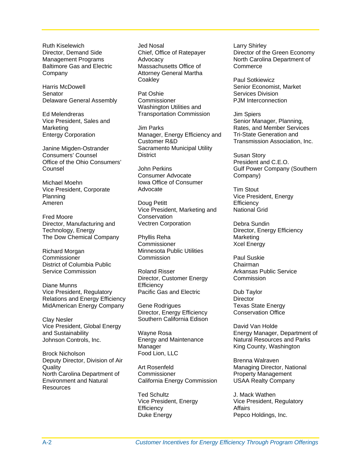Ruth Kiselewich Director, Demand Side Management Programs Baltimore Gas and Electric Company

Harris McDowell **Senator** Delaware General Assembly

Ed Melendreras Vice President, Sales and Marketing Entergy Corporation

Janine Migden-Ostrander Consumers' Counsel Office of the Ohio Consumers' Counsel

Michael Moehn Vice President, Corporate Planning Ameren

Fred Moore Director, Manufacturing and Technology, Energy The Dow Chemical Company

Richard Morgan **Commissioner** District of Columbia Public Service Commission

Diane Munns Vice President, Regulatory Relations and Energy Efficiency MidAmerican Energy Company

Clay Nesler **Southern California Edison** Vice President, Global Energy and Sustainability Johnson Controls, Inc.

Brock Nicholson **Food Lion, LLC** Deputy Director, Division of Air **Quality** North Carolina Department of Environment and Natural Resources

Jed Nosal Chief, Office of Ratepayer **Advocacy** Massachusetts Office of Attorney General Martha **Coakley** 

Pat Oshie **Commissioner** Washington Utilities and Transportation Commission Jim Spiers

Jim Parks Manager, Energy Efficiency and Customer R&D Sacramento Municipal Utility **District** 

John Perkins Consumer Advocate Iowa Office of Consumer Advocate

Doug Petitt Vice President, Marketing and **Conservation** Vectren Corporation

Phyllis Reha **Commissioner** Minnesota Public Utilities Commission

Roland Risser Director, Customer Energy **Efficiency** Pacific Gas and Electric

Gene Rodrigues Director, Energy Efficiency

Wayne Rosa Energy and Maintenance Manager

Art Rosenfeld **Commissioner** California Energy Commission

Ted Schultz Vice President, Energy **Efficiency** Duke Energy

Larry Shirley Director of the Green Economy North Carolina Department of **Commerce** 

Paul Sotkiewicz Senior Economist, Market Services Division PJM Interconnection

Senior Manager, Planning, Rates, and Member Services Tri-State Generation and Transmission Association, Inc.

Susan Story President and C.E.O. Gulf Power Company (Southern Company)

Tim Stout Vice President, Energy **Efficiency** National Grid

Debra Sundin Director, Energy Efficiency Marketing Xcel Energy

Paul Suskie Chairman Arkansas Public Service **Commission** 

Dub Taylor **Director** Texas State Energy Conservation Office

David Van Holde Energy Manager, Department of Natural Resources and Parks King County, Washington

Brenna Walraven Managing Director, National Property Management USAA Realty Company

J. Mack Wathen Vice President, Regulatory **Affairs** Pepco Holdings, Inc.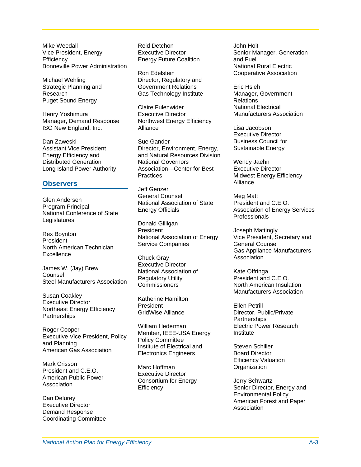Mike Weedall Vice President, Energy **Efficiency** Bonneville Power Administration

Michael Wehling Strategic Planning and Research Puget Sound Energy

Henry Yoshimura Manager, Demand Response ISO New England, Inc. Lisa Jacobson

Dan Zaweski Assistant Vice President, Energy Efficiency and Distributed Generation Long Island Power Authority

#### **Observers** Alliance

Glen Andersen Program Principal National Conference of State Legislatures **Donald Gilligan** 

Rex Boynton President North American Technician Excellence Chuck Gray

James W. (Jay) Brew Counsel Steel Manufacturers Association

Executive Director Northeast Energy Efficiency **Partnerships** 

Roger Cooper Executive Vice President, Policy and Planning and Flaming<br>American Gas Association Steven Schiller

Mark Crisson<br>Marc Hoffman Crisson Marc Hoffman Crisis of Communication President and C.E.O. American Public Power Association

Dan Delurey Executive Director Demand Response Coordinating Committee

Reid Detchon Executive Director Energy Future Coalition

Ron Edelstein Director, Regulatory and Government Relations Gas Technology Institute

Claire Fulenwider Executive Director Northwest Energy Efficiency Alliance

Sue Gander Director, Environment, Energy, and Natural Resources Division National Governors Association—Center for Best **Practices** 

Jeff Genzer General Counsel National Association of State Energy Officials

President National Association of Energy Service Companies

Executive Director National Association of Regulatory Utility Commissioners

Katherine Hamilton President GridWise Alliance

William Hederman Member, IEEE-USA Energy Policy Committee Institute of Electrical and Electronics Engineers

Marc Hoffman Executive Director Consortium for Energy **Efficiency** 

John Holt Senior Manager, Generation and Fuel National Rural Electric Cooperative Association

Eric Hsieh Manager, Government **Relations** National Electrical Manufacturers Association

Executive Director Business Council for Sustainable Energy

Wendy Jaehn Executive Director Midwest Energy Efficiency

Meg Matt President and C.E.O. Association of Energy Services **Professionals** 

Joseph Mattingly Vice President, Secretary and General Counsel Gas Appliance Manufacturers Association

Kate Offringa President and C.E.O. North American Insulation Manufacturers Association Susan Coakley

> Ellen Petrill Director, Public/Private **Partnerships** Electric Power Research Institute

Board Director Efficiency Valuation

Jerry Schwartz Senior Director, Energy and Environmental Policy American Forest and Paper **Association**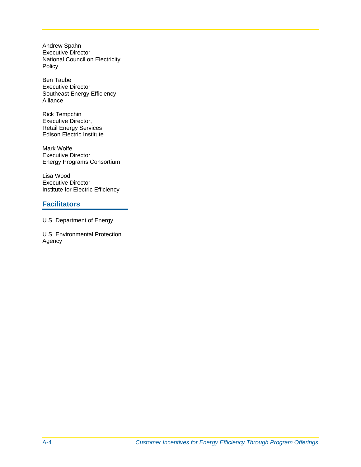Andrew Spahn Executive Director National Council on Electricity Policy

Ben Taube Executive Director Southeast Energy Efficiency Alliance

Rick Tempchin Executive Director, Retail Energy Services Edison Electric Institute

Mark Wolfe Executive Director Energy Programs Consortium

Lisa Wood Executive Director Institute for Electric Efficiency

#### **Facilitators**

U.S. Department of Energy

U.S. Environmental Protection Agency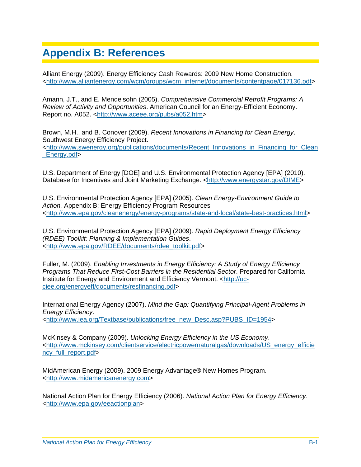# <span id="page-36-0"></span>**Appendix B: References**

Alliant Energy (2009). Energy Efficiency Cash Rewards: 2009 New Home Construction. <http://www.alliantenergy.com/wcm/groups/wcm\_internet/documents/contentpage/017136.pdf>

Amann, J.T., and E. Mendelsohn (2005). *Comprehensive Commercial Retrofit Programs: A Review of Activity and Opportunities*. American Council for an Energy-Efficient Economy. Report no. A052. <http://www.aceee.org/pubs/a052.htm>

Brown, M.H., and B. Conover (2009). *Recent Innovations in Financing for Clean Energy*. Southwest Energy Efficiency Project. <http://www.swenergy.org/publications/documents/Recent\_Innovations\_in\_Financing\_for\_Clean Energy.pdf>

U.S. Department of Energy [DOE] and U.S. Environmental Protection Agency [EPA] (2010). Database for Incentives and Joint Marketing Exchange. <http://www.energystar.gov/DIME>

U.S. Environmental Protection Agency [EPA] (2005). *Clean Energy-Environment Guide to Action.* Appendix B: Energy Efficiency Program Resources <http://www.epa.gov/cleanenergy/energy-programs/state-and-local/state-best-practices.html>

U.S. Environmental Protection Agency [EPA] (2009). *Rapid Deployment Energy Efficiency (RDEE) Toolkit: Planning & Implementation Guides*. <http://www.epa.gov/RDEE/documents/rdee\_toolkit.pdf>

Fuller, M. (2009). *Enabling Investments in Energy Efficiency: A Study of Energy Efficiency Programs That Reduce First-Cost Barriers in the Residential Sector*. Prepared for California Institute for Energy and Environment and Efficiency Vermont. <http://ucciee.org/energyeff/documents/resfinancing.pdf>

International Energy Agency (2007). *Mind the Gap: Quantifying Principal-Agent Problems in Energy Efficiency*. <http://www.iea.org/Textbase/publications/free\_new\_Desc.asp?PUBS\_ID=1954>

McKinsey & Company (2009). *Unlocking Energy Efficiency in the US Economy*. <http://www.mckinsey.com/clientservice/electricpowernaturalgas/downloads/US\_energy\_efficie ncy full report.pdf>

MidAmerican Energy (2009). 2009 Energy Advantage® New Homes Program. <http://www.midamericanenergy.com>

National Action Plan for Energy Efficiency (2006). *National Action Plan for Energy Efficiency*. <http://www.epa.gov/eeactionplan>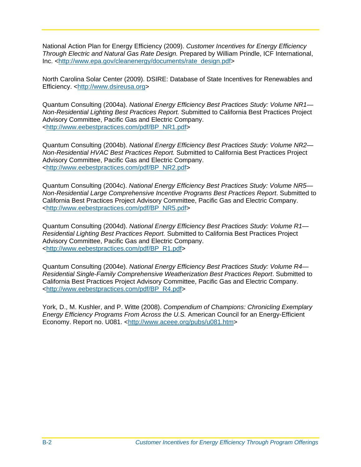National Action Plan for Energy Efficiency (2009). *Customer Incentives for Energy Efficiency Through Electric and Natural Gas Rate Design.* Prepared by William Prindle, ICF International, Inc. <http://www.epa.gov/cleanenergy/documents/rate\_design.pdf>

North Carolina Solar Center (2009). DSIRE: Database of State Incentives for Renewables and Efficiency. <http://www.dsireusa.org>

Quantum Consulting (2004a). *National Energy Efficiency Best Practices Study: Volume NR1— Non-Residential Lighting Best Practices Report.* Submitted to California Best Practices Project Advisory Committee, Pacific Gas and Electric Company. <http://www.eebestpractices.com/pdf/BP\_NR1.pdf>

Quantum Consulting (2004b). *National Energy Efficiency Best Practices Study: Volume NR2— Non-Residential HVAC Best Practices Report.* Submitted to California Best Practices Project Advisory Committee, Pacific Gas and Electric Company. <http://www.eebestpractices.com/pdf/BP\_NR2.pdf>

Quantum Consulting (2004c). *National Energy Efficiency Best Practices Study: Volume NR5— Non-Residential Large Comprehensive Incentive Programs Best Practices Report*. Submitted to California Best Practices Project Advisory Committee, Pacific Gas and Electric Company. <http://www.eebestpractices.com/pdf/BP\_NR5.pdf>

Quantum Consulting (2004d). *National Energy Efficiency Best Practices Study: Volume R1— Residential Lighting Best Practices Report.* Submitted to California Best Practices Project Advisory Committee, Pacific Gas and Electric Company. <http://www.eebestpractices.com/pdf/BP\_R1.pdf>

Quantum Consulting (2004e). *National Energy Efficiency Best Practices Study: Volume R4— Residential Single-Family Comprehensive Weatherization Best Practices Report*. Submitted to California Best Practices Project Advisory Committee, Pacific Gas and Electric Company. <http://www.eebestpractices.com/pdf/BP\_R4.pdf>

York, D., M. Kushler, and P. Witte (2008). *Compendium of Champions: Chronicling Exemplary Energy Efficiency Programs From Across the U.S.* American Council for an Energy-Efficient Economy. Report no. U081. <http://www.aceee.org/pubs/u081.htm>